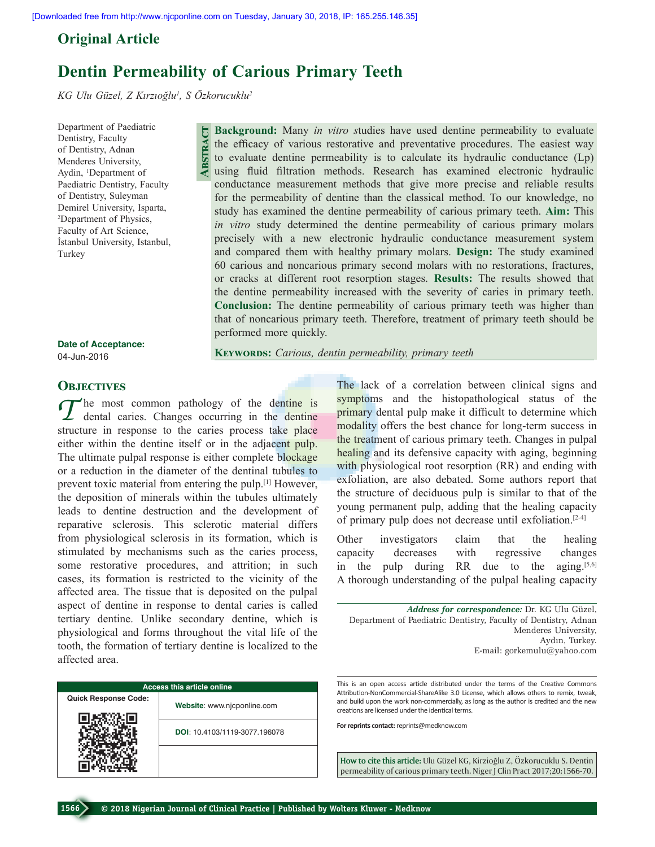# **Original Article**

# **Dentin Permeability of Carious Primary Teeth**

**Abstract**

*KG Ulu Güzel, Z Kırzıoğlu<sup>1</sup> , S Özkorucuklu2*

Department of Paediatric Dentistry, Faculty of Dentistry, Adnan Menderes University, Aydin, 1 Department of Paediatric Dentistry, Faculty of Dentistry, Suleyman Demirel University, Isparta, 2 Department of Physics, Faculty of Art Science, İstanbul University, Istanbul, Turkey

**Background:** Many *in vitro s*tudies have used dentine permeability to evaluate the efficacy of various restorative and preventative procedures. The easiest way to evaluate dentine permeability is to calculate its hydraulic conductance (Lp) using fluid filtration methods. Research has examined electronic hydraulic conductance measurement methods that give more precise and reliable results for the permeability of dentine than the classical method. To our knowledge, no study has examined the dentine permeability of carious primary teeth. **Aim:** This *in vitro* study determined the dentine permeability of carious primary molars precisely with a new electronic hydraulic conductance measurement system and compared them with healthy primary molars. **Design:** The study examined 60 carious and noncarious primary second molars with no restorations, fractures, or cracks at different root resorption stages. **Results:** The results showed that the dentine permeability increased with the severity of caries in primary teeth. **Conclusion:** The dentine permeability of carious primary teeth was higher than that of noncarious primary teeth. Therefore, treatment of primary teeth should be performed more quickly.

**Date of Acceptance:** 04-Jun-2016

**Keywords:** *Carious, dentin permeability, primary teeth*

# **OBJECTIVES**

 $T$  he most common pathology of the dentine is<br>dental caries. Changes occurring in the dentine structure in response to the caries process take place either within the dentine itself or in the adjacent pulp. The ultimate pulpal response is either complete blockage or a reduction in the diameter of the dentinal tubules to prevent toxic material from entering the pulp.[1] However, the deposition of minerals within the tubules ultimately leads to dentine destruction and the development of reparative sclerosis. This sclerotic material differs from physiological sclerosis in its formation, which is stimulated by mechanisms such as the caries process, some restorative procedures, and attrition; in such cases, its formation is restricted to the vicinity of the affected area. The tissue that is deposited on the pulpal aspect of dentine in response to dental caries is called tertiary dentine. Unlike secondary dentine, which is physiological and forms throughout the vital life of the tooth, the formation of tertiary dentine is localized to the affected area.

| <b>Access this article online</b> |                               |  |  |  |  |  |
|-----------------------------------|-------------------------------|--|--|--|--|--|
| <b>Quick Response Code:</b>       | Website: www.njcponline.com   |  |  |  |  |  |
|                                   | DOI: 10.4103/1119-3077.196078 |  |  |  |  |  |
|                                   |                               |  |  |  |  |  |

The lack of a correlation between clinical signs and symptoms and the histopathological status of the primary dental pulp make it difficult to determine which modality offers the best chance for long-term success in the treatment of carious primary teeth. Changes in pulpal healing and its defensive capacity with aging, beginning with physiological root resorption (RR) and ending with exfoliation, are also debated. Some authors report that the structure of deciduous pulp is similar to that of the young permanent pulp, adding that the healing capacity of primary pulp does not decrease until exfoliation.<sup>[2-4]</sup>

Other investigators claim that the healing capacity decreases with regressive changes in the pulp during RR due to the aging. $[5,6]$ A thorough understanding of the pulpal healing capacity

*Address for correspondence:* Dr. KG Ulu Güzel, Department of Paediatric Dentistry, Faculty of Dentistry, Adnan Menderes University, Aydın, Turkey. E-mail: gorkemulu@yahoo.com

This is an open access article distributed under the terms of the Creative Commons Attribution-NonCommercial-ShareAlike 3.0 License, which allows others to remix, tweak, and build upon the work non-commercially, as long as the author is credited and the new creations are licensed under the identical terms.

**For reprints contact:** reprints@medknow.com

How to cite this article: Ulu Güzel KG, Kirzioğlu Z, Özkorucuklu S. Dentin permeability of carious primary teeth. Niger J Clin Pract 2017;20:1566-70.

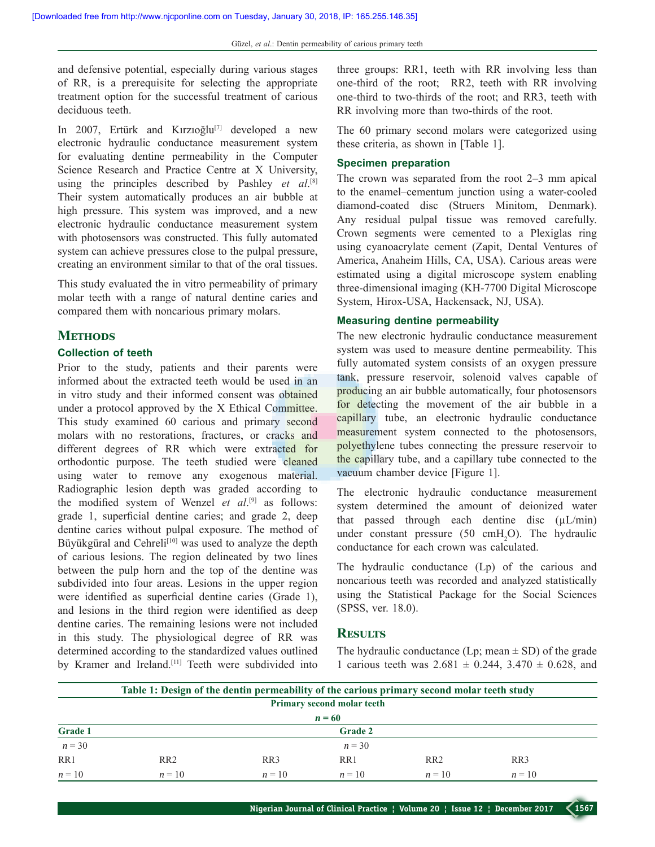and defensive potential, especially during various stages of RR, is a prerequisite for selecting the appropriate treatment option for the successful treatment of carious deciduous teeth.

In 2007, Ertürk and Kırzıoğlu<sup>[7]</sup> developed a new electronic hydraulic conductance measurement system for evaluating dentine permeability in the Computer Science Research and Practice Centre at X University, using the principles described by Pashley *et al.*<sup>[8]</sup> Their system automatically produces an air bubble at high pressure. This system was improved, and a new electronic hydraulic conductance measurement system with photosensors was constructed. This fully automated system can achieve pressures close to the pulpal pressure, creating an environment similar to that of the oral tissues.

This study evaluated the in vitro permeability of primary molar teeth with a range of natural dentine caries and compared them with noncarious primary molars.

#### **METHODS**

### **Collection of teeth**

Prior to the study, patients and their parents were informed about the extracted teeth would be used in an in vitro study and their informed consent was obtained under a protocol approved by the X Ethical Committee. This study examined 60 carious and primary second molars with no restorations, fractures, or cracks and different degrees of RR which were extracted for orthodontic purpose. The teeth studied were cleaned using water to remove any exogenous material. Radiographic lesion depth was graded according to the modified system of Wenzel *et al*.<sup>[9]</sup> as follows: grade 1, superficial dentine caries; and grade 2, deep dentine caries without pulpal exposure. The method of Büyükgüral and Cehreli<sup>[10]</sup> was used to analyze the depth of carious lesions. The region delineated by two lines between the pulp horn and the top of the dentine was subdivided into four areas. Lesions in the upper region were identified as superficial dentine caries (Grade 1), and lesions in the third region were identified as deep dentine caries. The remaining lesions were not included in this study. The physiological degree of RR was determined according to the standardized values outlined by Kramer and Ireland.<sup>[11]</sup> Teeth were subdivided into

three groups: RR1, teeth with RR involving less than one-third of the root; RR2, teeth with RR involving one-third to two-thirds of the root; and RR3, teeth with RR involving more than two-thirds of the root.

The 60 primary second molars were categorized using these criteria, as shown in [Table 1].

#### **Specimen preparation**

The crown was separated from the root 2–3 mm apical to the enamel–cementum junction using a water-cooled diamond-coated disc (Struers Minitom, Denmark). Any residual pulpal tissue was removed carefully. Crown segments were cemented to a Plexiglas ring using cyanoacrylate cement (Zapit, Dental Ventures of America, Anaheim Hills, CA, USA). Carious areas were estimated using a digital microscope system enabling three-dimensional imaging (KH-7700 Digital Microscope System, Hirox-USA, Hackensack, NJ, USA).

# **Measuring dentine permeability**

The new electronic hydraulic conductance measurement system was used to measure dentine permeability. This fully automated system consists of an oxygen pressure tank, pressure reservoir, solenoid valves capable of producing an air bubble automatically, four photosensors for detecting the movement of the air bubble in a capillary tube, an electronic hydraulic conductance measurement system connected to the photosensors, polyethylene tubes connecting the pressure reservoir to the capillary tube, and a capillary tube connected to the vacuum chamber device [Figure 1].

The electronic hydraulic conductance measurement system determined the amount of deionized water that passed through each dentine disc  $(\mu L/min)$ under constant pressure  $(50 \text{ cmH}_2\text{O})$ . The hydraulic conductance for each crown was calculated.

The hydraulic conductance (Lp) of the carious and noncarious teeth was recorded and analyzed statistically using the Statistical Package for the Social Sciences (SPSS, ver. 18.0).

# **Results**

The hydraulic conductance (Lp; mean  $\pm$  SD) of the grade 1 carious teeth was  $2.681 \pm 0.244$ ,  $3.470 \pm 0.628$ , and

| Table 1: Design of the dentin permeability of the carious primary second molar teeth study |                 |          |                |                 |          |  |  |  |
|--------------------------------------------------------------------------------------------|-----------------|----------|----------------|-----------------|----------|--|--|--|
| <b>Primary second molar teeth</b>                                                          |                 |          |                |                 |          |  |  |  |
|                                                                                            |                 |          | $n = 60$       |                 |          |  |  |  |
| Grade 1                                                                                    |                 |          | <b>Grade 2</b> |                 |          |  |  |  |
| $n = 30$                                                                                   |                 |          | $n = 30$       |                 |          |  |  |  |
| RR1                                                                                        | RR <sub>2</sub> | RR3      | RR1            | RR <sub>2</sub> | RR3      |  |  |  |
| $n = 10$                                                                                   | $n = 10$        | $n = 10$ | $n = 10$       | $n = 10$        | $n = 10$ |  |  |  |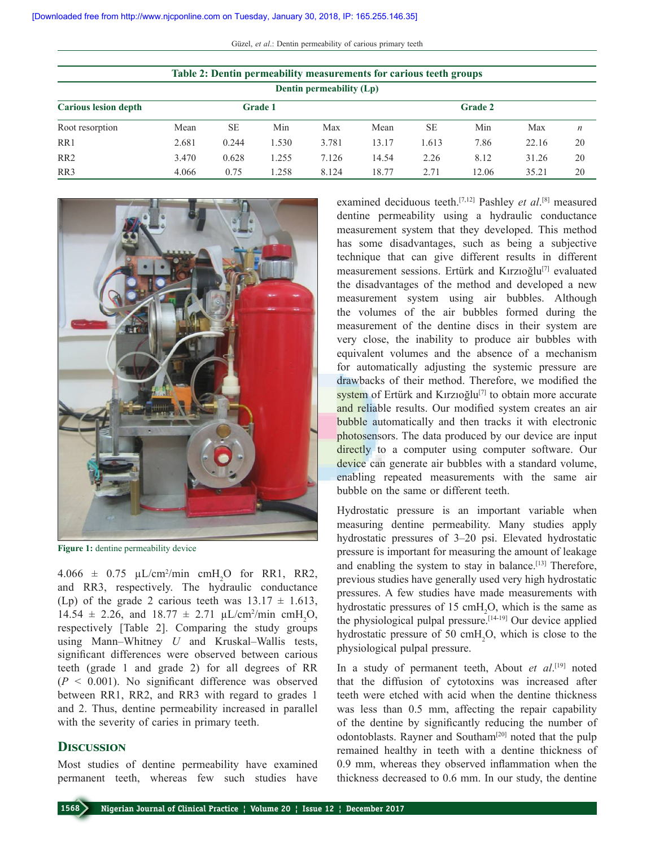Güzel, *et al*.: Dentin permeability of carious primary teeth

| Table 2: Dentin permeability measurements for carious teeth groups |                |           |       |                |       |           |       |       |                  |  |  |
|--------------------------------------------------------------------|----------------|-----------|-------|----------------|-------|-----------|-------|-------|------------------|--|--|
| Dentin permeability (Lp)                                           |                |           |       |                |       |           |       |       |                  |  |  |
| <b>Carious lesion depth</b>                                        | <b>Grade 1</b> |           |       | <b>Grade 2</b> |       |           |       |       |                  |  |  |
| Root resorption                                                    | Mean           | <b>SE</b> | Min   | Max            | Mean  | <b>SE</b> | Min   | Max   | $\boldsymbol{n}$ |  |  |
| RR <sub>1</sub>                                                    | 2.681          | 0.244     | 1.530 | 3.781          | 13.17 | 1.613     | 7.86  | 22.16 | 20               |  |  |
| RR <sub>2</sub>                                                    | 3.470          | 0.628     | 1.255 | 7.126          | 14.54 | 2.26      | 8.12  | 31.26 | 20               |  |  |
| RR3                                                                | 4.066          | 0.75      | 1.258 | 8.124          | 18.77 | 2.71      | 12.06 | 35.21 | 20               |  |  |



**Figure 1:** dentine permeability device

 $4.066 \pm 0.75 \mu L/cm^2/min \text{ cm}H_2O \text{ for RR1, RR2,}$ and RR3, respectively. The hydraulic conductance (Lp) of the grade 2 carious teeth was  $13.17 \pm 1.613$ , 14.54  $\pm$  2.26, and 18.77  $\pm$  2.71  $\mu$ L/cm<sup>2</sup>/min cmH<sub>2</sub>O, respectively [Table 2]. Comparing the study groups using Mann–Whitney *U* and Kruskal–Wallis tests, significant differences were observed between carious teeth (grade 1 and grade 2) for all degrees of RR  $(P < 0.001)$ . No significant difference was observed between RR1, RR2, and RR3 with regard to grades 1 and 2. Thus, dentine permeability increased in parallel with the severity of caries in primary teeth.

# **Discussion**

Most studies of dentine permeability have examined permanent teeth, whereas few such studies have

examined deciduous teeth.<sup>[7,12]</sup> Pashley *et al*.<sup>[8]</sup> measured dentine permeability using a hydraulic conductance measurement system that they developed. This method has some disadvantages, such as being a subjective technique that can give different results in different measurement sessions. Ertürk and Kırzıoğlu<sup>[7]</sup> evaluated the disadvantages of the method and developed a new measurement system using air bubbles. Although the volumes of the air bubbles formed during the measurement of the dentine discs in their system are very close, the inability to produce air bubbles with equivalent volumes and the absence of a mechanism for automatically adjusting the systemic pressure are drawbacks of their method. Therefore, we modified the system of Ertürk and Kırzıoğlu<sup>[7]</sup> to obtain more accurate and reliable results. Our modified system creates an air bubble automatically and then tracks it with electronic photosensors. The data produced by our device are input directly to a computer using computer software. Our device can generate air bubbles with a standard volume, enabling repeated measurements with the same air bubble on the same or different teeth.

Hydrostatic pressure is an important variable when measuring dentine permeability. Many studies apply hydrostatic pressures of 3–20 psi. Elevated hydrostatic pressure is important for measuring the amount of leakage and enabling the system to stay in balance.<sup>[13]</sup> Therefore, previous studies have generally used very high hydrostatic pressures. A few studies have made measurements with hydrostatic pressures of 15 cm $H_2O$ , which is the same as the physiological pulpal pressure.<sup>[14-19]</sup> Our device applied hydrostatic pressure of 50  $\text{cm}H_2O$ , which is close to the physiological pulpal pressure.

In a study of permanent teeth, About *et al*. [19] noted that the diffusion of cytotoxins was increased after teeth were etched with acid when the dentine thickness was less than 0.5 mm, affecting the repair capability of the dentine by significantly reducing the number of odontoblasts. Rayner and Southam<sup>[20]</sup> noted that the pulp remained healthy in teeth with a dentine thickness of 0.9 mm, whereas they observed inflammation when the thickness decreased to 0.6 mm. In our study, the dentine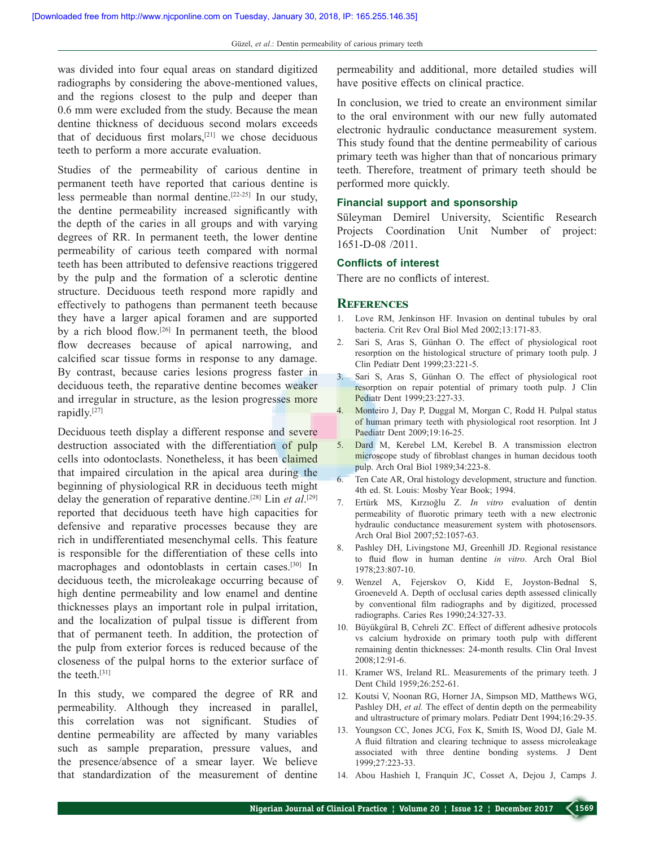was divided into four equal areas on standard digitized radiographs by considering the above-mentioned values, and the regions closest to the pulp and deeper than 0.6 mm were excluded from the study. Because the mean dentine thickness of deciduous second molars exceeds that of deciduous first molars, $[21]$  we chose deciduous teeth to perform a more accurate evaluation.

Studies of the permeability of carious dentine in permanent teeth have reported that carious dentine is less permeable than normal dentine.[22-25] In our study, the dentine permeability increased significantly with the depth of the caries in all groups and with varying degrees of RR. In permanent teeth, the lower dentine permeability of carious teeth compared with normal teeth has been attributed to defensive reactions triggered by the pulp and the formation of a sclerotic dentine structure. Deciduous teeth respond more rapidly and effectively to pathogens than permanent teeth because they have a larger apical foramen and are supported by a rich blood flow.[26] In permanent teeth, the blood flow decreases because of apical narrowing, and calcified scar tissue forms in response to any damage. By contrast, because caries lesions progress faster in deciduous teeth, the reparative dentine becomes weaker and irregular in structure, as the lesion progresses more rapidly.[27]

Deciduous teeth display a different response and severe destruction associated with the differentiation of pulp cells into odontoclasts. Nonetheless, it has been claimed that impaired circulation in the apical area during the beginning of physiological RR in deciduous teeth might delay the generation of reparative dentine.[28] Lin *et al*. [29] reported that deciduous teeth have high capacities for defensive and reparative processes because they are rich in undifferentiated mesenchymal cells. This feature is responsible for the differentiation of these cells into macrophages and odontoblasts in certain cases.[30] In deciduous teeth, the microleakage occurring because of high dentine permeability and low enamel and dentine thicknesses plays an important role in pulpal irritation, and the localization of pulpal tissue is different from that of permanent teeth. In addition, the protection of the pulp from exterior forces is reduced because of the closeness of the pulpal horns to the exterior surface of the teeth.[31]

In this study, we compared the degree of RR and permeability. Although they increased in parallel, this correlation was not significant. Studies of dentine permeability are affected by many variables such as sample preparation, pressure values, and the presence/absence of a smear layer. We believe that standardization of the measurement of dentine

permeability and additional, more detailed studies will have positive effects on clinical practice.

In conclusion, we tried to create an environment similar to the oral environment with our new fully automated electronic hydraulic conductance measurement system. This study found that the dentine permeability of carious primary teeth was higher than that of noncarious primary teeth. Therefore, treatment of primary teeth should be performed more quickly.

#### **Financial support and sponsorship**

Süleyman Demirel University, Scientific Research Projects Coordination Unit Number of project: 1651-D-08 /2011.

## **Conflicts of interest**

There are no conflicts of interest.

## **References**

- 1. Love RM, Jenkinson HF. Invasion on dentinal tubules by oral bacteria. Crit Rev Oral Biol Med 2002;13:171-83.
- 2. Sari S, Aras S, Günhan O. The effect of physiological root resorption on the histological structure of primary tooth pulp. J Clin Pediatr Dent 1999;23:221-5.
- 3. Sari S, Aras S, Günhan O. The effect of physiological root resorption on repair potential of primary tooth pulp. J Clin Pediatr Dent 1999;23:227-33.
- 4. Monteiro J, Day P, Duggal M, Morgan C, Rodd H. Pulpal status of human primary teeth with physiological root resorption. Int J Paediatr Dent 2009;19:16-25.
- 5. Dard M, Kerebel LM, Kerebel B. A transmission electron microscope study of fibroblast changes in human decidous tooth pulp. Arch Oral Biol 1989;34:223-8.
- 6. Ten Cate AR, Oral histology development, structure and function. 4th ed. St. Louis: Mosby Year Book; 1994.
- 7. Ertürk MS, Kırzıoğlu Z. *In vitro* evaluation of dentin permeability of fluorotic primary teeth with a new electronic hydraulic conductance measurement system with photosensors. Arch Oral Biol 2007;52:1057-63.
- 8. Pashley DH, Livingstone MJ, Greenhill JD. Regional resistance to fluid flow in human dentine *in vitro*. Arch Oral Biol 1978;23:807-10.
- 9. Wenzel A, Fejerskov O, Kidd E, Joyston-Bednal S, Groeneveld A. Depth of occlusal caries depth assessed clinically by conventional film radiographs and by digitized, processed radiographs. Caries Res 1990;24:327-33.
- 10. Büyükgüral B, Cehreli ZC. Effect of different adhesive protocols vs calcium hydroxide on primary tooth pulp with different remaining dentin thicknesses: 24-month results. Clin Oral Invest 2008;12:91-6.
- 11. Kramer WS, Ireland RL. Measurements of the primary teeth. J Dent Child 1959;26:252-61.
- 12. Koutsi V, Noonan RG, Horner JA, Simpson MD, Matthews WG, Pashley DH, et al. The effect of dentin depth on the permeability and ultrastructure of primary molars. Pediatr Dent 1994;16:29-35.
- 13. Youngson CC, Jones JCG, Fox K, Smith IS, Wood DJ, Gale M. A fluid filtration and clearing technique to assess microleakage associated with three dentine bonding systems. J Dent 1999;27:223-33.
- 14. Abou Hashieh I, Franquin JC, Cosset A, Dejou J, Camps J.